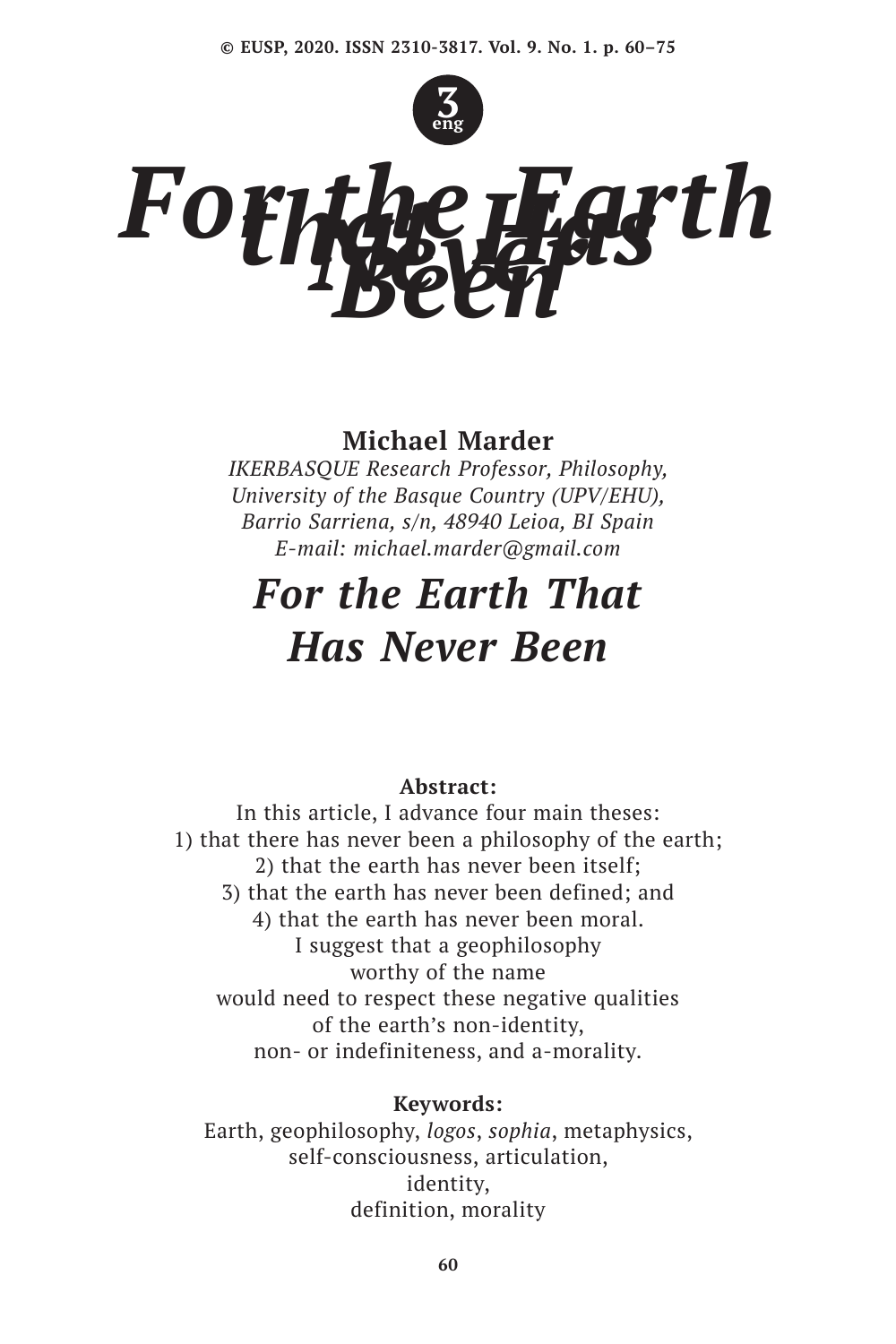

# *For the Earth*

# **Michael Marder**

*IKERBASQUE Research Professor, Philosophy, University of the Basque Country (UPV/EHU), Barrio Sarriena, s/n, 48940 Leioa, BI Spain E-mail: michael.marder@gmail.com*

# *For the Earth That Has Never Been*

# **Abstract:**

In this article, I advance four main theses: 1) that there has never been a philosophy of the earth; 2) that the earth has never been itself; 3) that the earth has never been defined; and 4) that the earth has never been moral. I suggest that a geophilosophy worthy of the name would need to respect these negative qualities of the earth's non-identity, non- or indefiniteness, and a-morality.

# **Keywords:**

Earth, geophilosophy, *logos*, *sophia*, metaphysics, self-consciousness, articulation, identity, definition, morality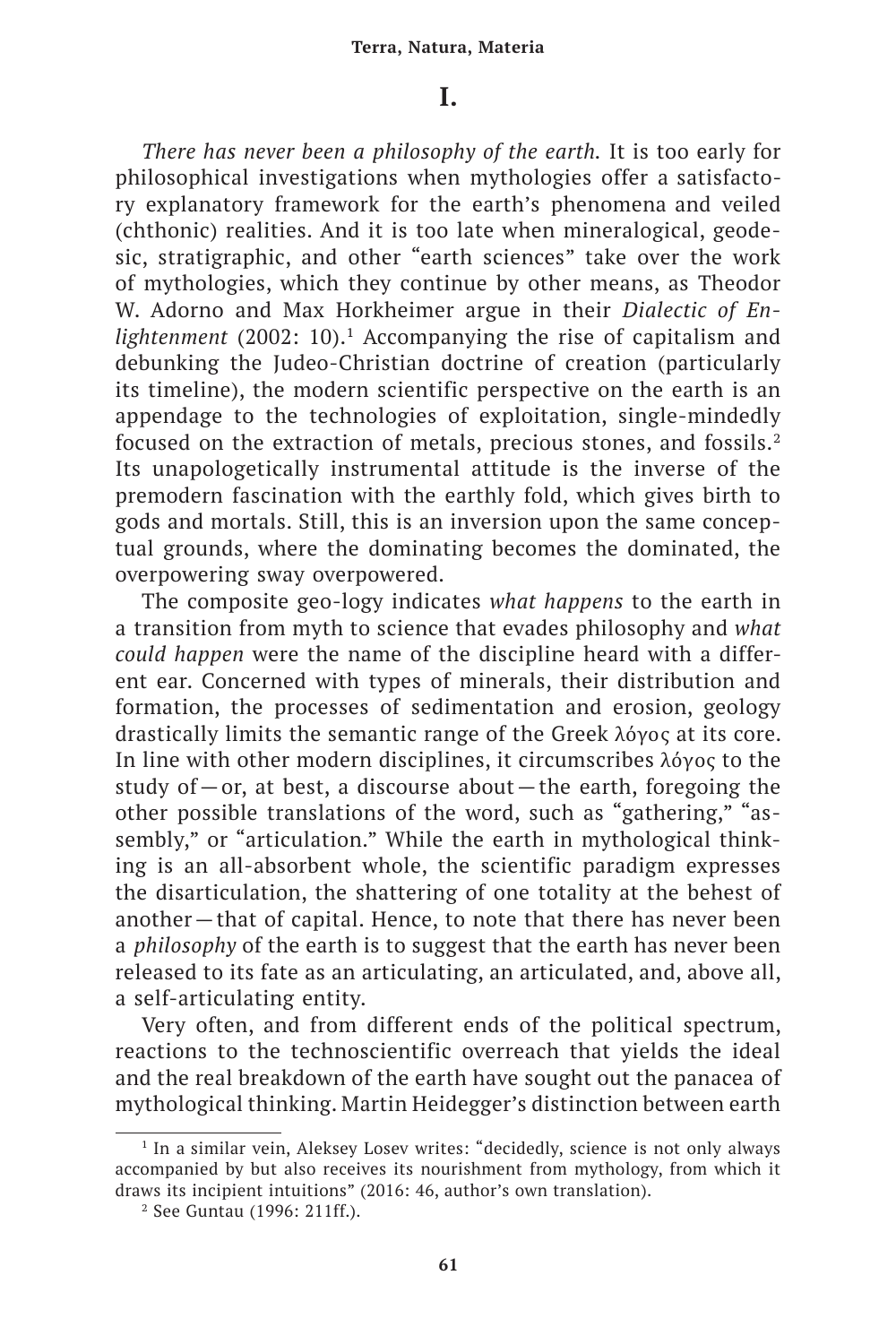# **I.**

*There has never been a philosophy of the earth.* It is too early for philosophical investigations when mythologies offer a satisfactory explanatory framework for the earth's phenomena and veiled (chthonic) realities. And it is too late when mineralogical, geodesic, stratigraphic, and other "earth sciences" take over the work of mythologies, which they continue by other means, as Theodor W. Adorno and Max Horkheimer argue in their *Dialectic of Enlightenment* (2002: 10).<sup>1</sup> Accompanying the rise of capitalism and debunking the Judeo-Christian doctrine of creation (particularly its timeline), the modern scientific perspective on the earth is an appendage to the technologies of exploitation, single-mindedly focused on the extraction of metals, precious stones, and fossils.<sup>2</sup> Its unapologetically instrumental attitude is the inverse of the premodern fascination with the earthly fold, which gives birth to gods and mortals. Still, this is an inversion upon the same conceptual grounds, where the dominating becomes the dominated, the overpowering sway overpowered.

The composite geo-logy indicates *what happens* to the earth in a transition from myth to science that evades philosophy and *what could happen* were the name of the discipline heard with a different ear. Concerned with types of minerals, their distribution and formation, the processes of sedimentation and erosion, geology drastically limits the semantic range of the Greek λόγος at its core. In line with other modern disciplines, it circumscribes λόγος to the study of—or, at best, a discourse about—the earth, foregoing the other possible translations of the word, such as "gathering," "assembly," or "articulation." While the earth in mythological thinking is an all-absorbent whole, the scientific paradigm expresses the disarticulation, the shattering of one totality at the behest of another—that of capital. Hence, to note that there has never been a *philosophy* of the earth is to suggest that the earth has never been released to its fate as an articulating, an articulated, and, above all, a self-articulating entity.

Very often, and from different ends of the political spectrum, reactions to the technoscientific overreach that yields the ideal and the real breakdown of the earth have sought out the panacea of mythological thinking. Martin Heidegger's distinction between earth

<sup>&</sup>lt;sup>1</sup> In a similar vein, Aleksey Losey writes: "decidedly, science is not only always accompanied by but also receives its nourishment from mythology, from which it draws its incipient intuitions" (2016: 46, author's own translation).

<sup>2</sup> See Guntau (1996: 211ff.).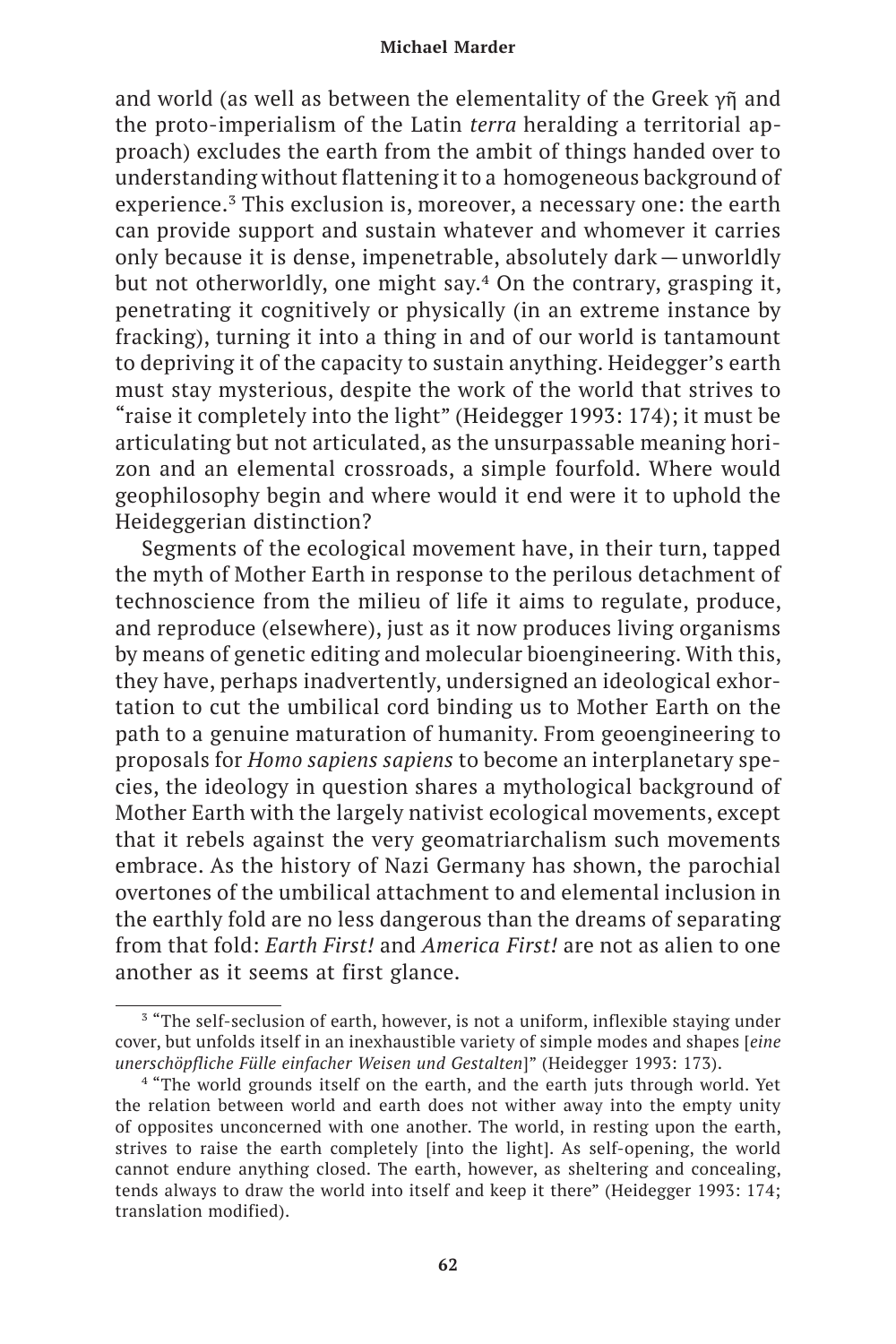and world (as well as between the elementality of the Greek γῆ and the proto-imperialism of the Latin *terra* heralding a territorial approach) excludes the earth from the ambit of things handed over to understanding without flattening it to a homogeneous background of experience.<sup>3</sup> This exclusion is, moreover, a necessary one: the earth can provide support and sustain whatever and whomever it carries only because it is dense, impenetrable, absolutely dark—unworldly but not otherworldly, one might say.<sup>4</sup> On the contrary, grasping it, penetrating it cognitively or physically (in an extreme instance by fracking), turning it into a thing in and of our world is tantamount to depriving it of the capacity to sustain anything. Heidegger's earth must stay mysterious, despite the work of the world that strives to "raise it completely into the light" (Heidegger 1993: 174); it must be articulating but not articulated, as the unsurpassable meaning horizon and an elemental crossroads, a simple fourfold. Where would geophilosophy begin and where would it end were it to uphold the Heideggerian distinction?

Segments of the ecological movement have, in their turn, tapped the myth of Mother Earth in response to the perilous detachment of technoscience from the milieu of life it aims to regulate, produce, and reproduce (elsewhere), just as it now produces living organisms by means of genetic editing and molecular bioengineering. With this, they have, perhaps inadvertently, undersigned an ideological exhortation to cut the umbilical cord binding us to Mother Earth on the path to a genuine maturation of humanity. From geoengineering to proposals for *Homo sapiens sapiens* to become an interplanetary species, the ideology in question shares a mythological background of Mother Earth with the largely nativist ecological movements, except that it rebels against the very geomatriarchalism such movements embrace. As the history of Nazi Germany has shown, the parochial overtones of the umbilical attachment to and elemental inclusion in the earthly fold are no less dangerous than the dreams of separating from that fold: *Earth First!* and *America First!* are not as alien to one another as it seems at first glance.

<sup>3</sup> "The self-seclusion of earth, however, is not a uniform, inflexible staying under cover, but unfolds itself in an inexhaustible variety of simple modes and shapes [*eine unerschöpfliche Fülle einfacher Weisen und Gestalten*]" (Heidegger 1993: 173).

<sup>&</sup>lt;sup>4</sup> "The world grounds itself on the earth, and the earth juts through world. Yet the relation between world and earth does not wither away into the empty unity of opposites unconcerned with one another. The world, in resting upon the earth, strives to raise the earth completely [into the light]. As self-opening, the world cannot endure anything closed. The earth, however, as sheltering and concealing, tends always to draw the world into itself and keep it there" (Heidegger 1993: 174; translation modified).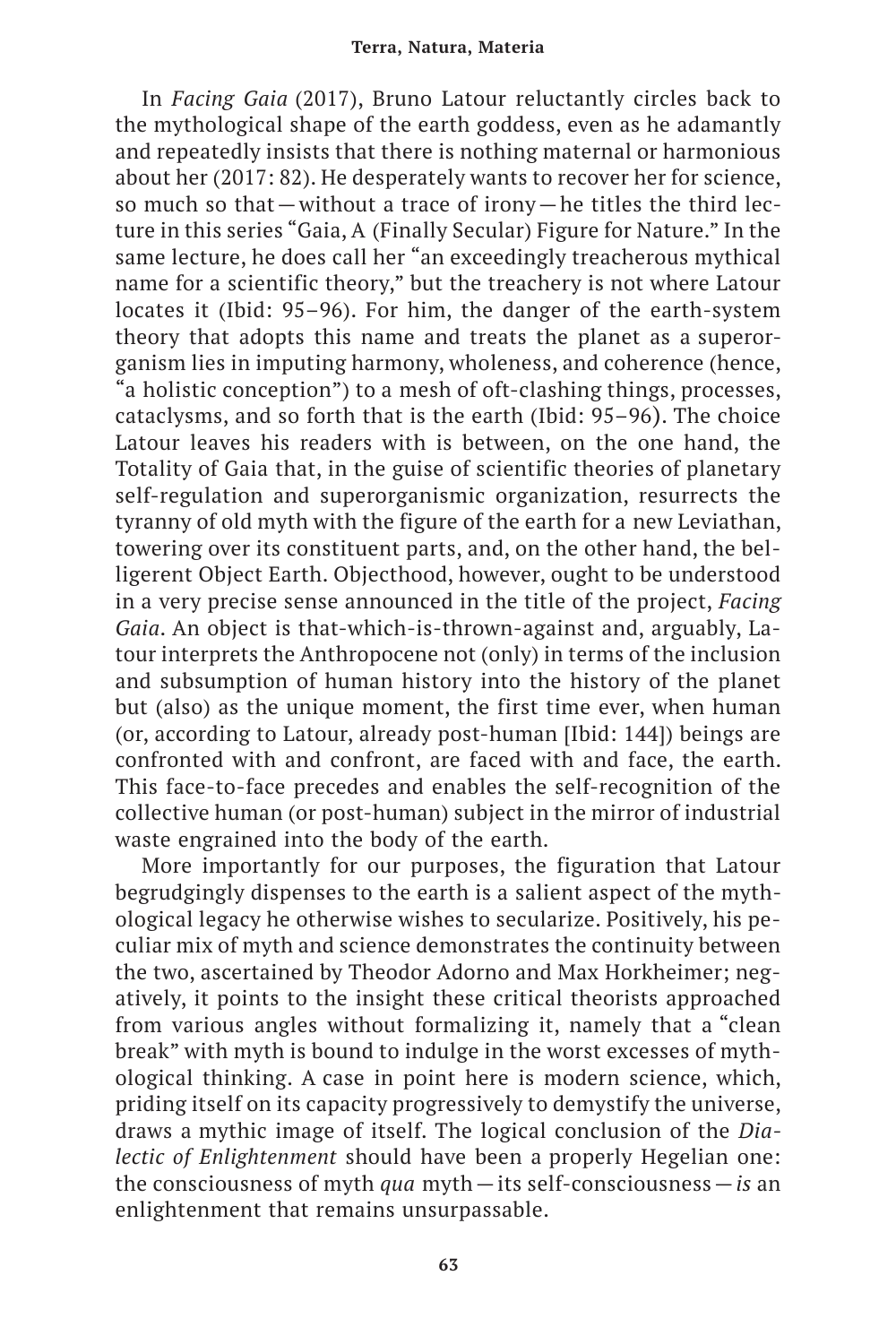In *Facing Gaia* (2017), Bruno Latour reluctantly circles back to the mythological shape of the earth goddess, even as he adamantly and repeatedly insists that there is nothing maternal or harmonious about her (2017: 82). He desperately wants to recover her for science, so much so that—without a trace of irony—he titles the third lecture in this series "Gaia, A (Finally Secular) Figure for Nature." In the same lecture, he does call her "an exceedingly treacherous mythical name for a scientific theory," but the treachery is not where Latour locates it (Ibid: 95–96). For him, the danger of the earth-system theory that adopts this name and treats the planet as a superorganism lies in imputing harmony, wholeness, and coherence (hence, "a holistic conception") to a mesh of oft-clashing things, processes, cataclysms, and so forth that is the earth (Ibid: 95–96). The choice Latour leaves his readers with is between, on the one hand, the Totality of Gaia that, in the guise of scientific theories of planetary self-regulation and superorganismic organization, resurrects the tyranny of old myth with the figure of the earth for a new Leviathan, towering over its constituent parts, and, on the other hand, the belligerent Object Earth. Objecthood, however, ought to be understood in a very precise sense announced in the title of the project, *Facing Gaia*. An object is that-which-is-thrown-against and, arguably, Latour interprets the Anthropocene not (only) in terms of the inclusion and subsumption of human history into the history of the planet but (also) as the unique moment, the first time ever, when human (or, according to Latour, already post-human [Ibid: 144]) beings are confronted with and confront, are faced with and face, the earth. This face-to-face precedes and enables the self-recognition of the collective human (or post-human) subject in the mirror of industrial waste engrained into the body of the earth.

More importantly for our purposes, the figuration that Latour begrudgingly dispenses to the earth is a salient aspect of the mythological legacy he otherwise wishes to secularize. Positively, his peculiar mix of myth and science demonstrates the continuity between the two, ascertained by Theodor Adorno and Max Horkheimer; negatively, it points to the insight these critical theorists approached from various angles without formalizing it, namely that a "clean break" with myth is bound to indulge in the worst excesses of mythological thinking. A case in point here is modern science, which, priding itself on its capacity progressively to demystify the universe, draws a mythic image of itself. The logical conclusion of the *Dialectic of Enlightenment* should have been a properly Hegelian one: the consciousness of myth *qua* myth—its self-consciousness—*is* an enlightenment that remains unsurpassable.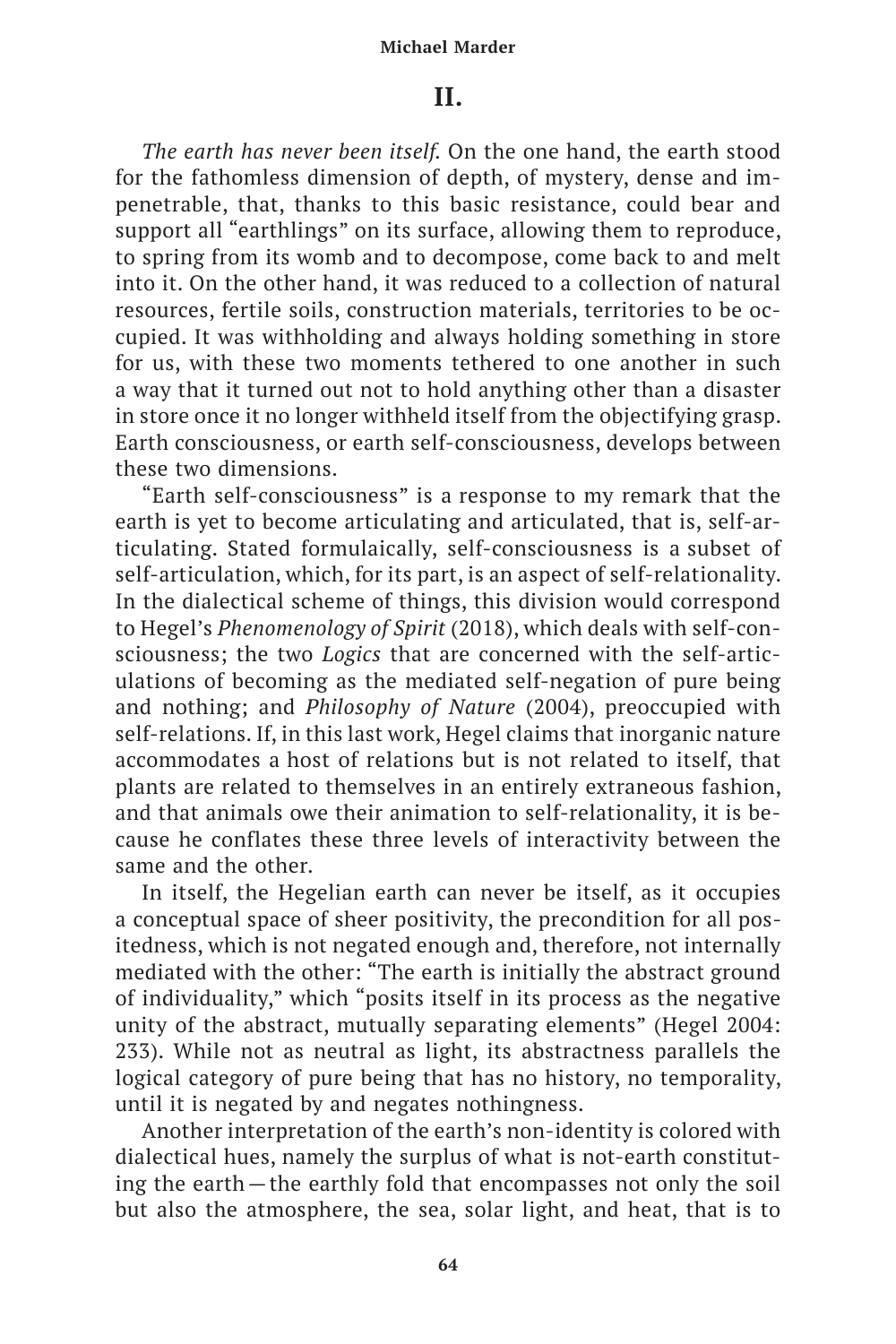## **II.**

*The earth has never been itself.* On the one hand, the earth stood for the fathomless dimension of depth, of mystery, dense and impenetrable, that, thanks to this basic resistance, could bear and support all "earthlings" on its surface, allowing them to reproduce, to spring from its womb and to decompose, come back to and melt into it. On the other hand, it was reduced to a collection of natural resources, fertile soils, construction materials, territories to be occupied. It was withholding and always holding something in store for us, with these two moments tethered to one another in such a way that it turned out not to hold anything other than a disaster in store once it no longer withheld itself from the objectifying grasp. Earth consciousness, or earth self-consciousness, develops between these two dimensions.

"Earth self-consciousness" is a response to my remark that the earth is yet to become articulating and articulated, that is, self-articulating. Stated formulaically, self-consciousness is a subset of self-articulation, which, for its part, is an aspect of self-relationality. In the dialectical scheme of things, this division would correspond to Hegel's *Phenomenology of Spirit* (2018), which deals with self-consciousness; the two *Logics* that are concerned with the self-articulations of becoming as the mediated self-negation of pure being and nothing; and *Philosophy of Nature* (2004), preoccupied with self-relations. If, in this last work, Hegel claims that inorganic nature accommodates a host of relations but is not related to itself, that plants are related to themselves in an entirely extraneous fashion, and that animals owe their animation to self-relationality, it is because he conflates these three levels of interactivity between the same and the other.

In itself, the Hegelian earth can never be itself, as it occupies a conceptual space of sheer positivity, the precondition for all positedness, which is not negated enough and, therefore, not internally mediated with the other: "The earth is initially the abstract ground of individuality," which "posits itself in its process as the negative unity of the abstract, mutually separating elements" (Hegel 2004: 233). While not as neutral as light, its abstractness parallels the logical category of pure being that has no history, no temporality, until it is negated by and negates nothingness.

Another interpretation of the earth's non-identity is colored with dialectical hues, namely the surplus of what is not-earth constituting the earth—the earthly fold that encompasses not only the soil but also the atmosphere, the sea, solar light, and heat, that is to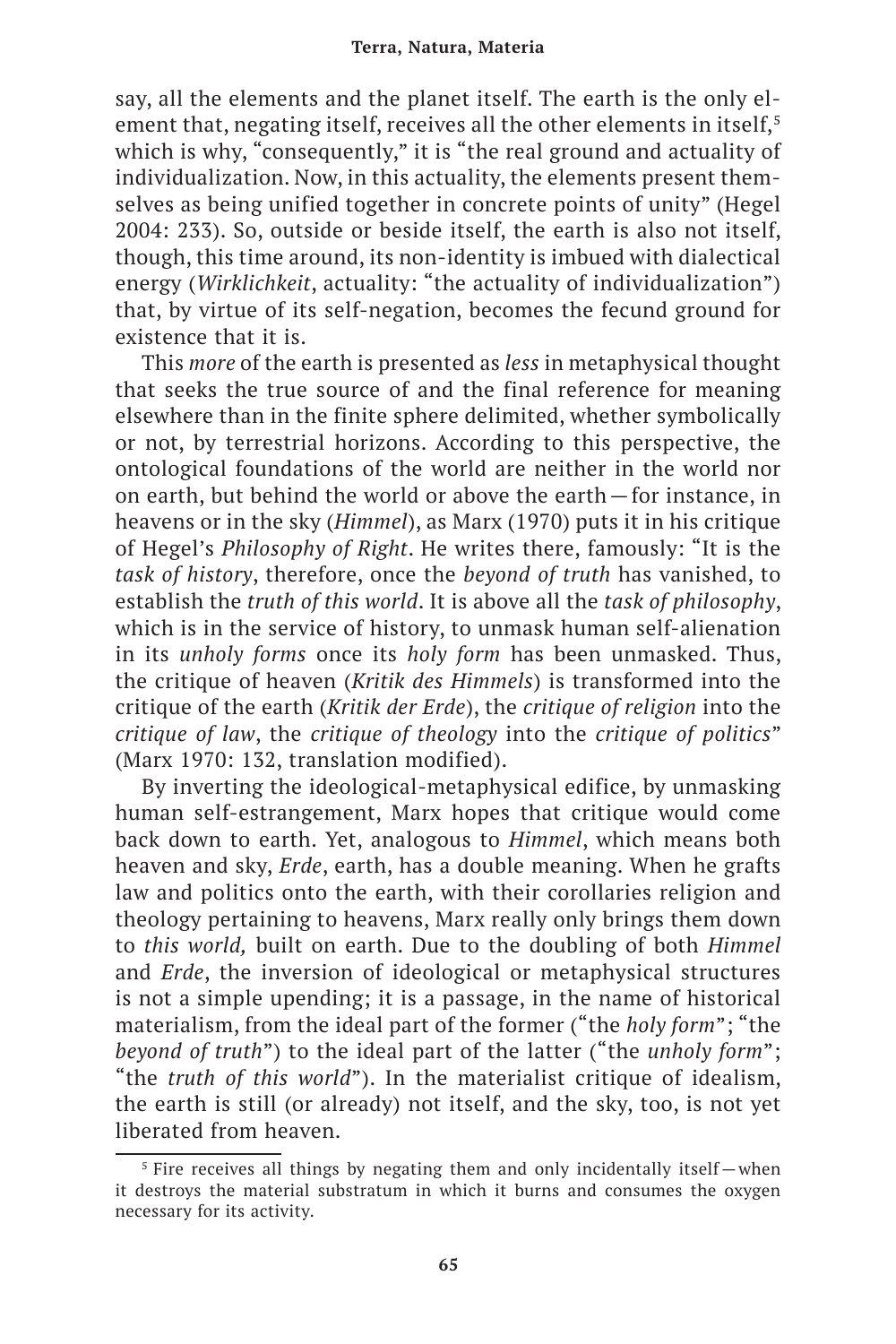say, all the elements and the planet itself. The earth is the only element that, negating itself, receives all the other elements in itself,<sup>5</sup> which is why, "consequently," it is "the real ground and actuality of individualization. Now, in this actuality, the elements present themselves as being unified together in concrete points of unity" (Hegel 2004: 233). So, outside or beside itself, the earth is also not itself, though, this time around, its non-identity is imbued with dialectical energy (*Wirklichkeit*, actuality: "the actuality of individualization") that, by virtue of its self-negation, becomes the fecund ground for existence that it is.

This *more* of the earth is presented as *less* in metaphysical thought that seeks the true source of and the final reference for meaning elsewhere than in the finite sphere delimited, whether symbolically or not, by terrestrial horizons. According to this perspective, the ontological foundations of the world are neither in the world nor on earth, but behind the world or above the earth—for instance, in heavens or in the sky (*Himmel*), as Marx (1970) puts it in his critique of Hegel's *Philosophy of Right*. He writes there, famously: "It is the *task of history*, therefore, once the *beyond of truth* has vanished, to establish the *truth of this world*. It is above all the *task of philosophy*, which is in the service of history, to unmask human self-alienation in its *unholy forms* once its *holy form* has been unmasked. Thus, the critique of heaven (*Kritik des Himmels*) is transformed into the critique of the earth (*Kritik der Erde*), the *critique of religion* into the *critique of law*, the *critique of theology* into the *critique of politics*" (Marx 1970: 132, translation modified).

By inverting the ideological-metaphysical edifice, by unmasking human self-estrangement, Marx hopes that critique would come back down to earth. Yet, analogous to *Himmel*, which means both heaven and sky, *Erde*, earth, has a double meaning. When he grafts law and politics onto the earth, with their corollaries religion and theology pertaining to heavens, Marx really only brings them down to *this world,* built on earth. Due to the doubling of both *Himmel*  and *Erde*, the inversion of ideological or metaphysical structures is not a simple upending; it is a passage, in the name of historical materialism, from the ideal part of the former ("the *holy form*"; "the *beyond of truth*") to the ideal part of the latter ("the *unholy form*"; "the *truth of this world*"). In the materialist critique of idealism, the earth is still (or already) not itself, and the sky, too, is not yet liberated from heaven.

<sup>&</sup>lt;sup>5</sup> Fire receives all things by negating them and only incidentally itself – when it destroys the material substratum in which it burns and consumes the oxygen necessary for its activity.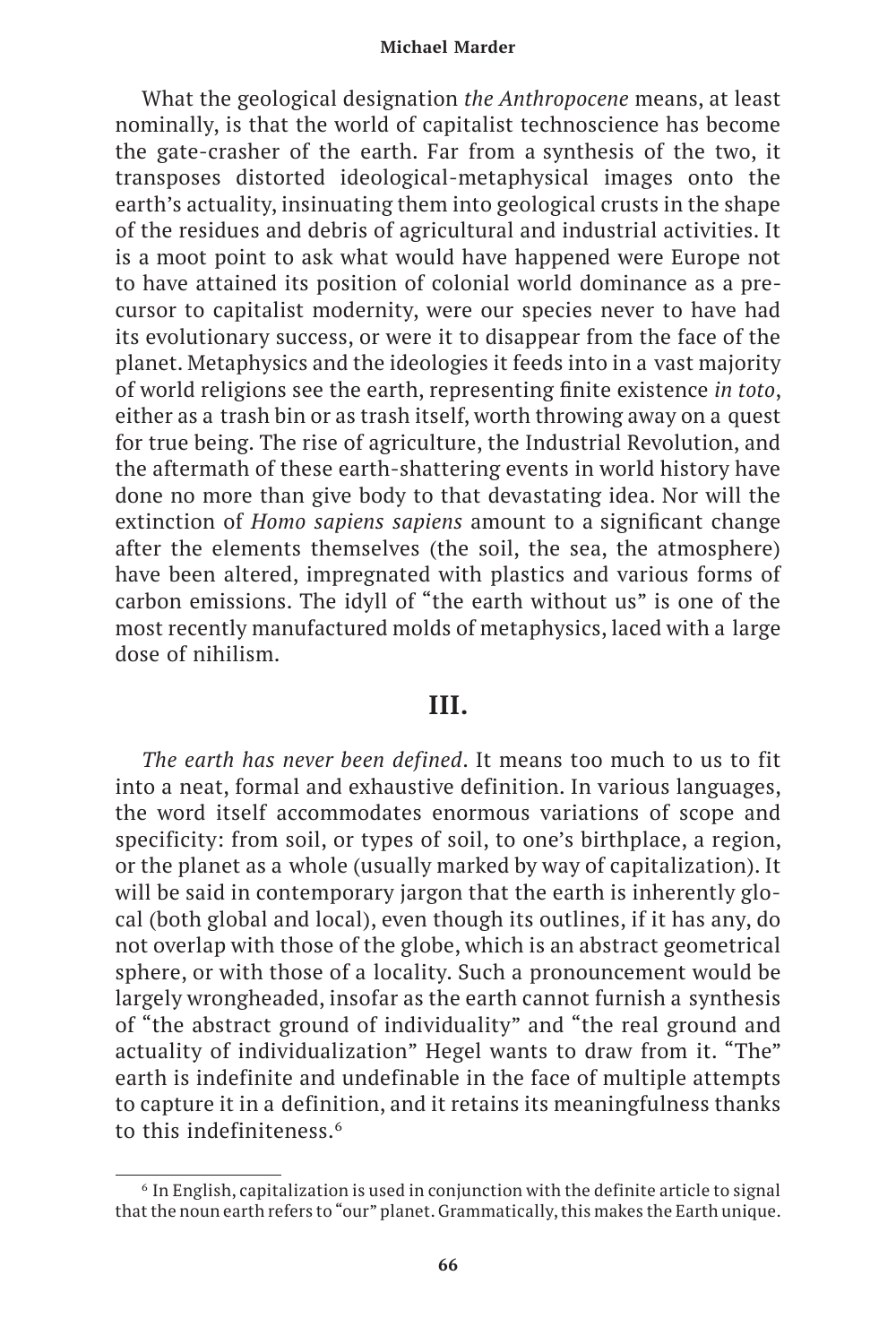What the geological designation *the Anthropocene* means, at least nominally, is that the world of capitalist technoscience has become the gate-crasher of the earth. Far from a synthesis of the two, it transposes distorted ideological-metaphysical images onto the earth's actuality, insinuating them into geological crusts in the shape of the residues and debris of agricultural and industrial activities. It is a moot point to ask what would have happened were Europe not to have attained its position of colonial world dominance as a precursor to capitalist modernity, were our species never to have had its evolutionary success, or were it to disappear from the face of the planet. Metaphysics and the ideologies it feeds into in a vast majority of world religions see the earth, representing finite existence *in toto*, either as a trash bin or as trash itself, worth throwing away on a quest for true being. The rise of agriculture, the Industrial Revolution, and the aftermath of these earth-shattering events in world history have done no more than give body to that devastating idea. Nor will the extinction of *Homo sapiens sapiens* amount to a significant change after the elements themselves (the soil, the sea, the atmosphere) have been altered, impregnated with plastics and various forms of carbon emissions. The idyll of "the earth without us" is one of the most recently manufactured molds of metaphysics, laced with a large dose of nihilism.

## **III.**

*The earth has never been defined*. It means too much to us to fit into a neat, formal and exhaustive definition. In various languages, the word itself accommodates enormous variations of scope and specificity: from soil, or types of soil, to one's birthplace, a region, or the planet as a whole (usually marked by way of capitalization). It will be said in contemporary jargon that the earth is inherently glocal (both global and local), even though its outlines, if it has any, do not overlap with those of the globe, which is an abstract geometrical sphere, or with those of a locality. Such a pronouncement would be largely wrongheaded, insofar as the earth cannot furnish a synthesis of "the abstract ground of individuality" and "the real ground and actuality of individualization" Hegel wants to draw from it. "The" earth is indefinite and undefinable in the face of multiple attempts to capture it in a definition, and it retains its meaningfulness thanks to this indefiniteness.<sup>6</sup>

<sup>6</sup> In English, capitalization is used in conjunction with the definite article to signal that the noun earth refers to "our" planet. Grammatically, this makes the Earth unique.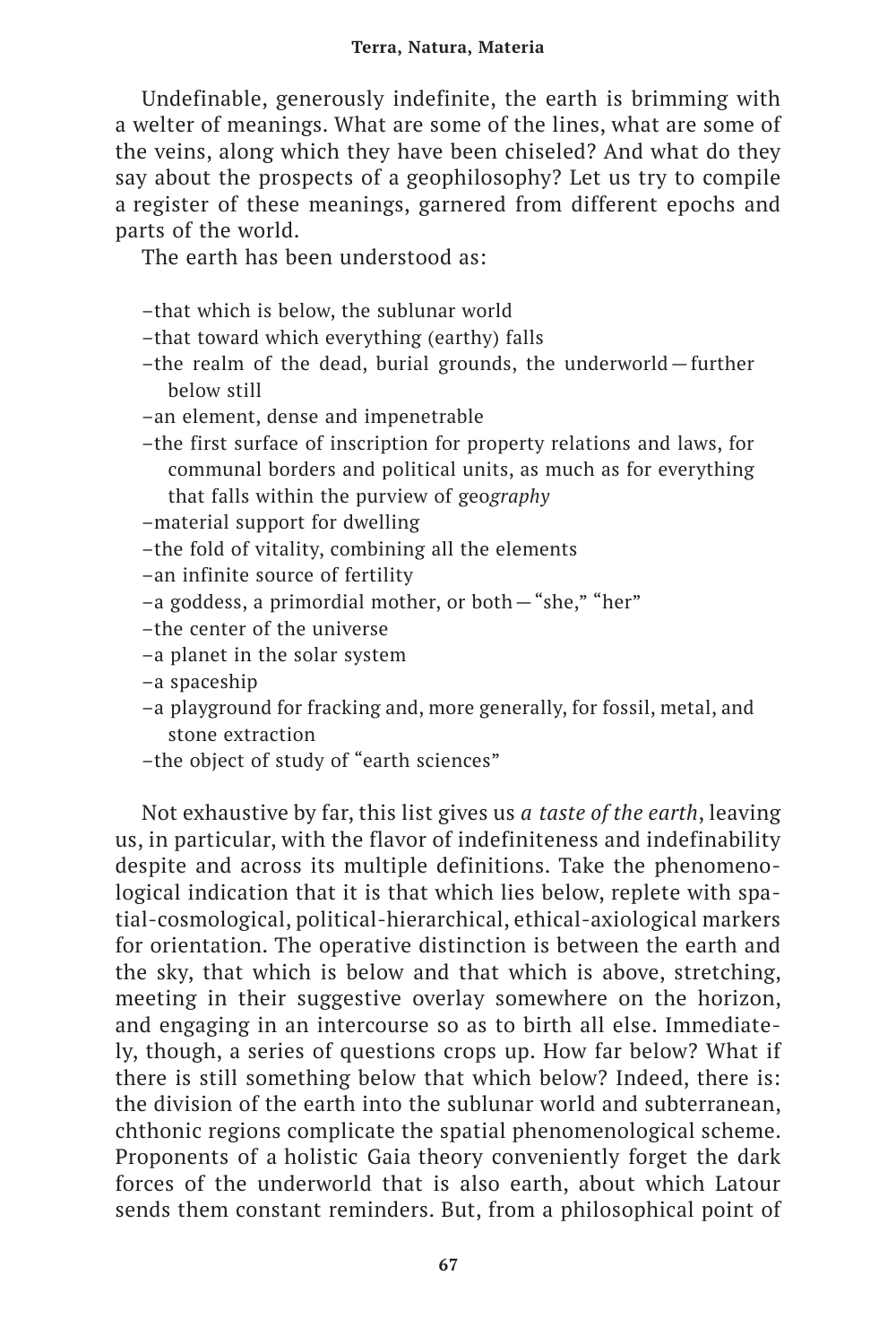Undefinable, generously indefinite, the earth is brimming with a welter of meanings. What are some of the lines, what are some of the veins, along which they have been chiseled? And what do they say about the prospects of a geophilosophy? Let us try to compile a register of these meanings, garnered from different epochs and parts of the world.

The earth has been understood as:

- –that which is below, the sublunar world
- –that toward which everything (earthy) falls
- –the realm of the dead, burial grounds, the underworld—further below still
- –an element, dense and impenetrable
- –the first surface of inscription for property relations and laws, for communal borders and political units, as much as for everything that falls within the purview of geo*graphy*
- –material support for dwelling
- –the fold of vitality, combining all the elements
- –an infinite source of fertility
- –a goddess, a primordial mother, or both—"she," "her"
- –the center of the universe
- –a planet in the solar system
- –a spaceship
- –a playground for fracking and, more generally, for fossil, metal, and stone extraction
- –the object of study of "earth sciences"

Not exhaustive by far, this list gives us *a taste of the earth*, leaving us, in particular, with the flavor of indefiniteness and indefinability despite and across its multiple definitions. Take the phenomenological indication that it is that which lies below, replete with spatial-cosmological, political-hierarchical, ethical-axiological markers for orientation. The operative distinction is between the earth and the sky, that which is below and that which is above, stretching, meeting in their suggestive overlay somewhere on the horizon, and engaging in an intercourse so as to birth all else. Immediately, though, a series of questions crops up. How far below? What if there is still something below that which below? Indeed, there is: the division of the earth into the sublunar world and subterranean, chthonic regions complicate the spatial phenomenological scheme. Proponents of a holistic Gaia theory conveniently forget the dark forces of the underworld that is also earth, about which Latour sends them constant reminders. But, from a philosophical point of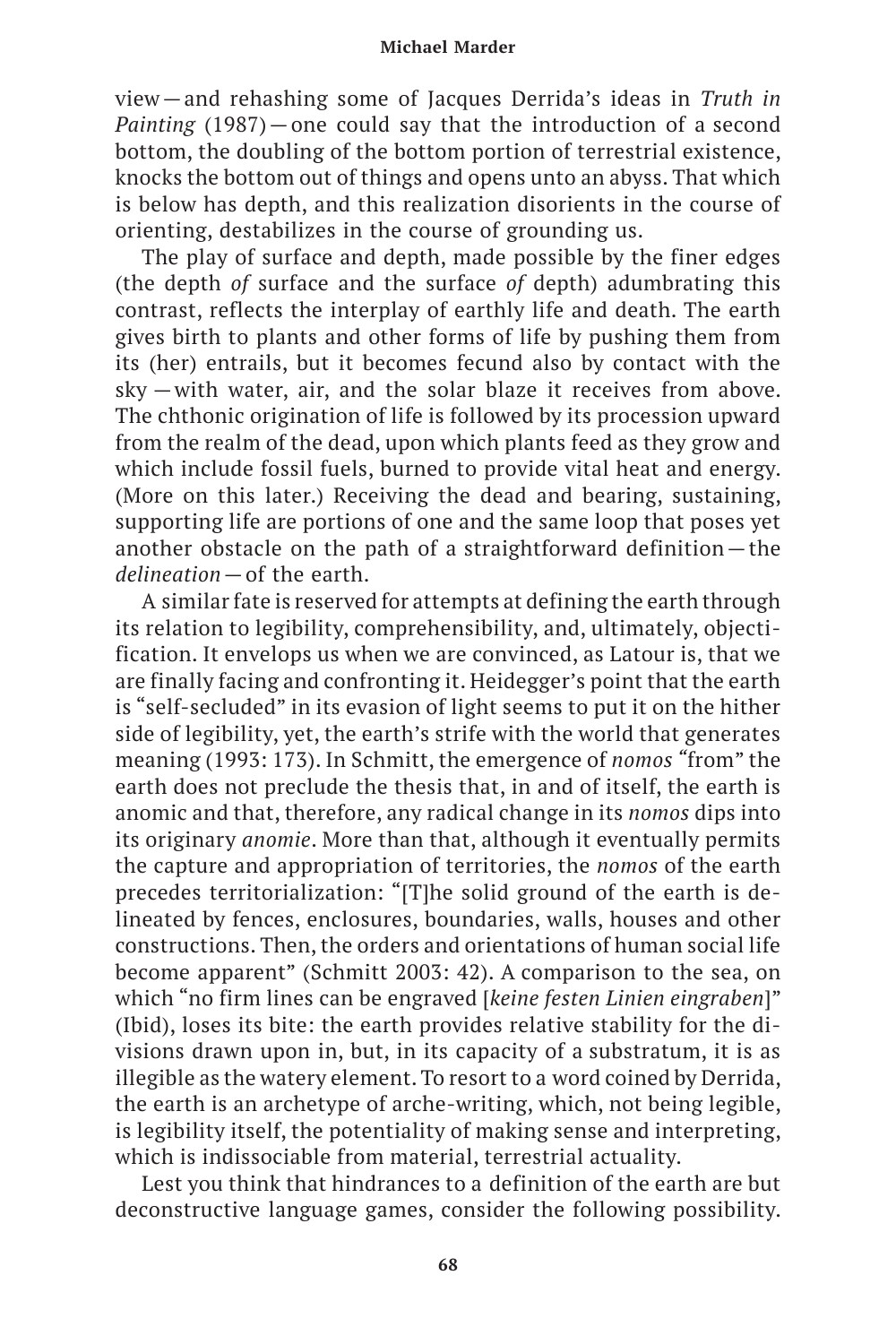view—and rehashing some of Jacques Derrida's ideas in *Truth in Painting* (1987)—one could say that the introduction of a second bottom, the doubling of the bottom portion of terrestrial existence, knocks the bottom out of things and opens unto an abyss. That which is below has depth, and this realization disorients in the course of orienting, destabilizes in the course of grounding us.

The play of surface and depth, made possible by the finer edges (the depth *of* surface and the surface *of* depth) adumbrating this contrast, reflects the interplay of earthly life and death. The earth gives birth to plants and other forms of life by pushing them from its (her) entrails, but it becomes fecund also by contact with the sky  —with water, air, and the solar blaze it receives from above. The chthonic origination of life is followed by its procession upward from the realm of the dead, upon which plants feed as they grow and which include fossil fuels, burned to provide vital heat and energy. (More on this later.) Receiving the dead and bearing, sustaining, supporting life are portions of one and the same loop that poses yet another obstacle on the path of a straightforward definition—the *delineation*—of the earth.

A similar fate is reserved for attempts at defining the earth through its relation to legibility, comprehensibility, and, ultimately, objectification. It envelops us when we are convinced, as Latour is, that we are finally facing and confronting it. Heidegger's point that the earth is "self-secluded" in its evasion of light seems to put it on the hither side of legibility, yet, the earth's strife with the world that generates meaning (1993: 173). In Schmitt, the emergence of *nomos "*from" the earth does not preclude the thesis that, in and of itself, the earth is anomic and that, therefore, any radical change in its *nomos* dips into its originary *anomie*. More than that, although it eventually permits the capture and appropriation of territories, the *nomos* of the earth precedes territorialization: "[T]he solid ground of the earth is delineated by fences, enclosures, boundaries, walls, houses and other constructions. Then, the orders and orientations of human social life become apparent" (Schmitt 2003: 42). A comparison to the sea, on which "no firm lines can be engraved [*keine festen Linien eingraben*]" (Ibid), loses its bite: the earth provides relative stability for the divisions drawn upon in, but, in its capacity of a substratum, it is as illegible as the watery element. To resort to a word coined by Derrida, the earth is an archetype of arche-writing, which, not being legible, is legibility itself, the potentiality of making sense and interpreting, which is indissociable from material, terrestrial actuality.

Lest you think that hindrances to a definition of the earth are but deconstructive language games, consider the following possibility.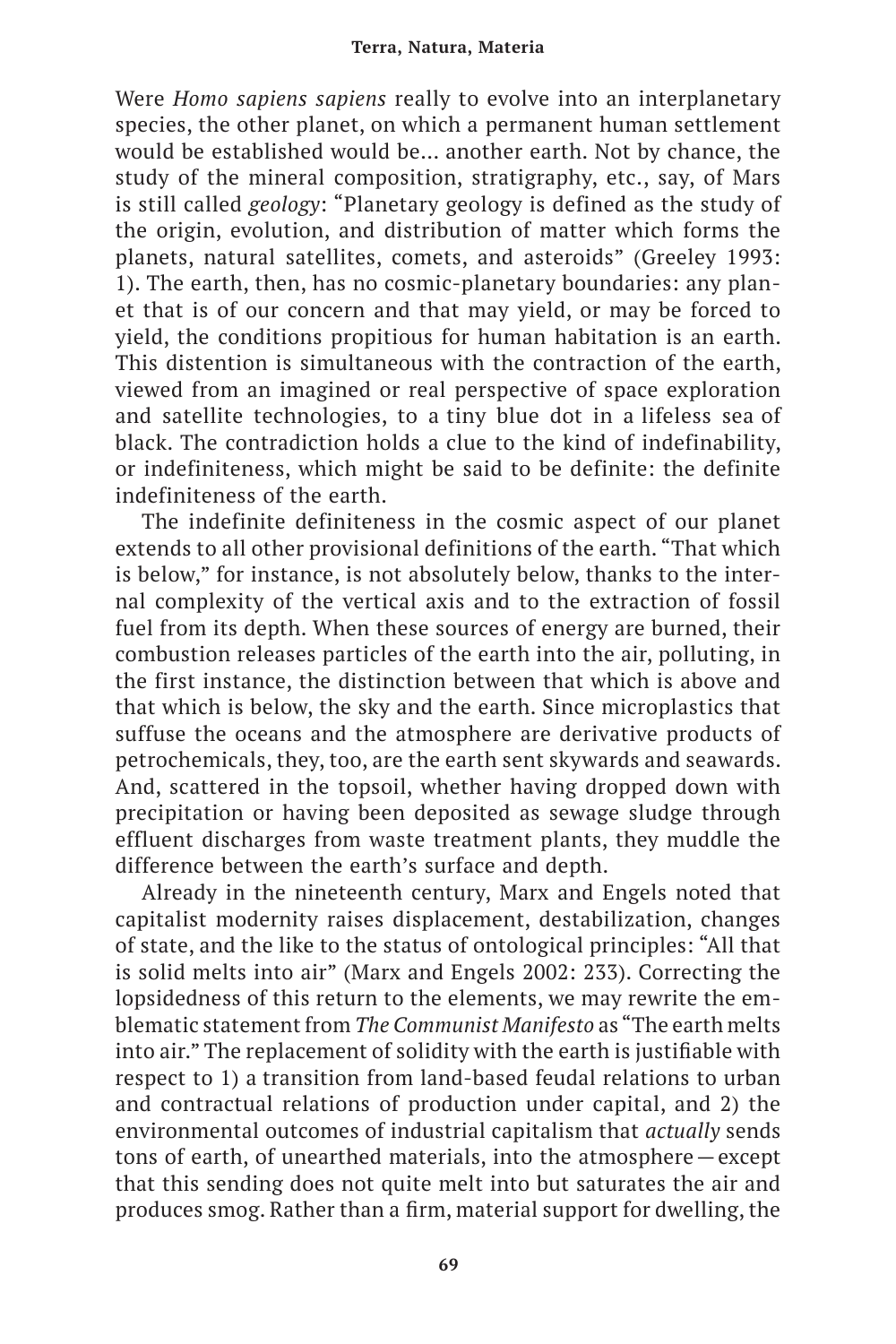Were *Homo sapiens sapiens* really to evolve into an interplanetary species, the other planet, on which a permanent human settlement would be established would be… another earth. Not by chance, the study of the mineral composition, stratigraphy, etc., say, of Mars is still called *geology*: "Planetary geology is defined as the study of the origin, evolution, and distribution of matter which forms the planets, natural satellites, comets, and asteroids" (Greeley 1993: 1). The earth, then, has no cosmic-planetary boundaries: any planet that is of our concern and that may yield, or may be forced to yield, the conditions propitious for human habitation is an earth. This distention is simultaneous with the contraction of the earth, viewed from an imagined or real perspective of space exploration and satellite technologies, to a tiny blue dot in a lifeless sea of black. The contradiction holds a clue to the kind of indefinability, or indefiniteness, which might be said to be definite: the definite indefiniteness of the earth.

The indefinite definiteness in the cosmic aspect of our planet extends to all other provisional definitions of the earth. "That which is below," for instance, is not absolutely below, thanks to the internal complexity of the vertical axis and to the extraction of fossil fuel from its depth. When these sources of energy are burned, their combustion releases particles of the earth into the air, polluting, in the first instance, the distinction between that which is above and that which is below, the sky and the earth. Since microplastics that suffuse the oceans and the atmosphere are derivative products of petrochemicals, they, too, are the earth sent skywards and seawards. And, scattered in the topsoil, whether having dropped down with precipitation or having been deposited as sewage sludge through effluent discharges from waste treatment plants, they muddle the difference between the earth's surface and depth.

Already in the nineteenth century, Marx and Engels noted that capitalist modernity raises displacement, destabilization, changes of state, and the like to the status of ontological principles: "All that is solid melts into air" (Marx and Engels 2002: 233). Correcting the lopsidedness of this return to the elements, we may rewrite the emblematic statement from *The Communist Manifesto* as "The earth melts into air." The replacement of solidity with the earth is justifiable with respect to 1) a transition from land-based feudal relations to urban and contractual relations of production under capital, and 2) the environmental outcomes of industrial capitalism that *actually* sends tons of earth, of unearthed materials, into the atmosphere—except that this sending does not quite melt into but saturates the air and produces smog. Rather than a firm, material support for dwelling, the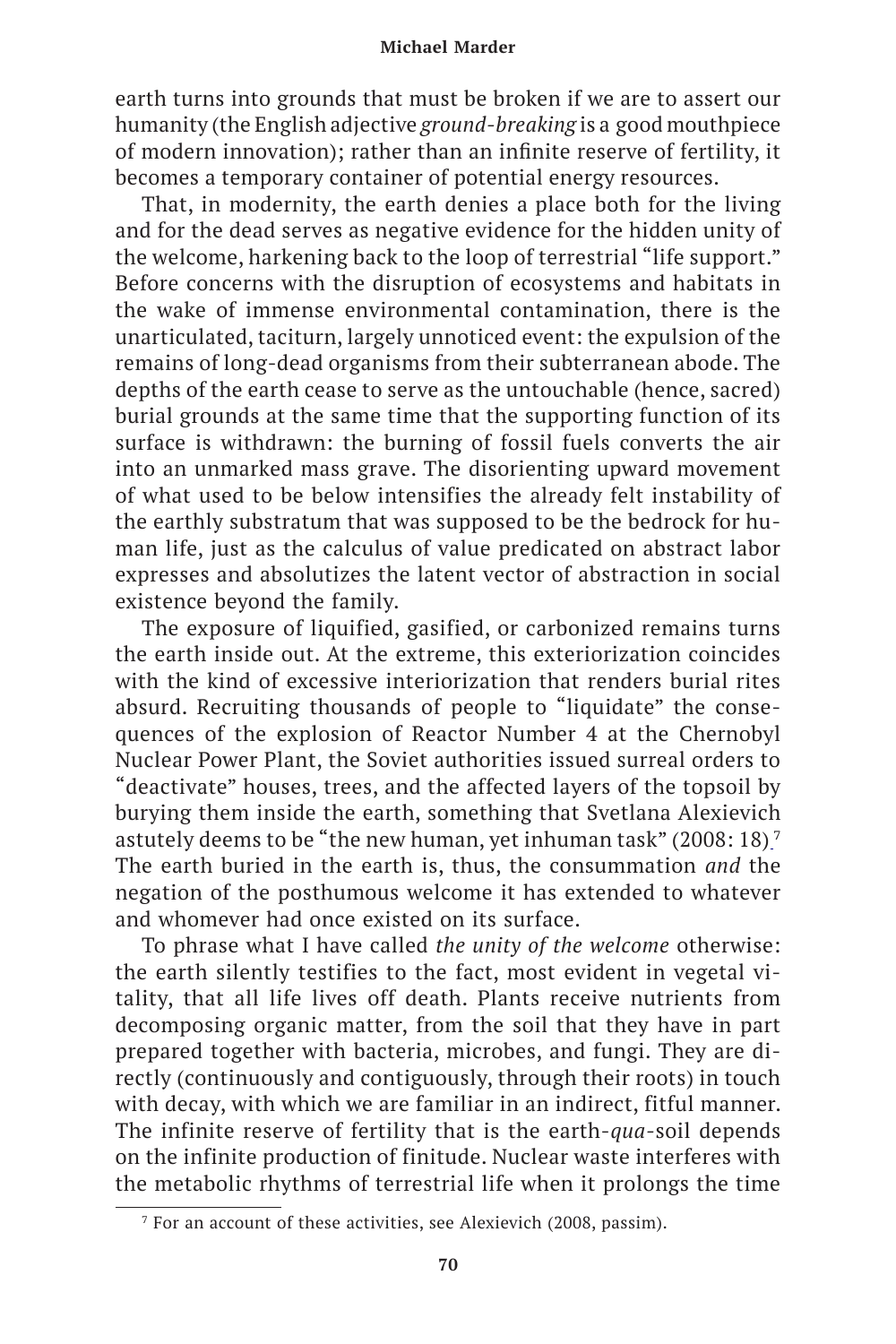earth turns into grounds that must be broken if we are to assert our humanity (the English adjective *ground-breaking* is a good mouthpiece of modern innovation); rather than an infinite reserve of fertility, it becomes a temporary container of potential energy resources.

That, in modernity, the earth denies a place both for the living and for the dead serves as negative evidence for the hidden unity of the welcome, harkening back to the loop of terrestrial "life support." Before concerns with the disruption of ecosystems and habitats in the wake of immense environmental contamination, there is the unarticulated, taciturn, largely unnoticed event: the expulsion of the remains of long-dead organisms from their subterranean abode. The depths of the earth cease to serve as the untouchable (hence, sacred) burial grounds at the same time that the supporting function of its surface is withdrawn: the burning of fossil fuels converts the air into an unmarked mass grave. The disorienting upward movement of what used to be below intensifies the already felt instability of the earthly substratum that was supposed to be the bedrock for human life, just as the calculus of value predicated on abstract labor expresses and absolutizes the latent vector of abstraction in social existence beyond the family.

The exposure of liquified, gasified, or carbonized remains turns the earth inside out. At the extreme, this exteriorization coincides with the kind of excessive interiorization that renders burial rites absurd. Recruiting thousands of people to "liquidate" the consequences of the explosion of Reactor Number 4 at the Chernobyl Nuclear Power Plant, the Soviet authorities issued surreal orders to "deactivate" houses, trees, and the affected layers of the topsoil by burying them inside the earth, something that Svetlana Alexievich astutely deems to be "the new human, yet inhuman task" (2008: 18) <sup>7</sup> The earth buried in the earth is, thus, the consummation *and* the negation of the posthumous welcome it has extended to whatever and whomever had once existed on its surface.

To phrase what I have called *the unity of the welcome* otherwise: the earth silently testifies to the fact, most evident in vegetal vitality, that all life lives off death. Plants receive nutrients from decomposing organic matter, from the soil that they have in part prepared together with bacteria, microbes, and fungi. They are directly (continuously and contiguously, through their roots) in touch with decay, with which we are familiar in an indirect, fitful manner. The infinite reserve of fertility that is the earth-*qua-*soil depends on the infinite production of finitude. Nuclear waste interferes with the metabolic rhythms of terrestrial life when it prolongs the time

<sup>7</sup> For an account of these activities, see Alexievich (2008, passim).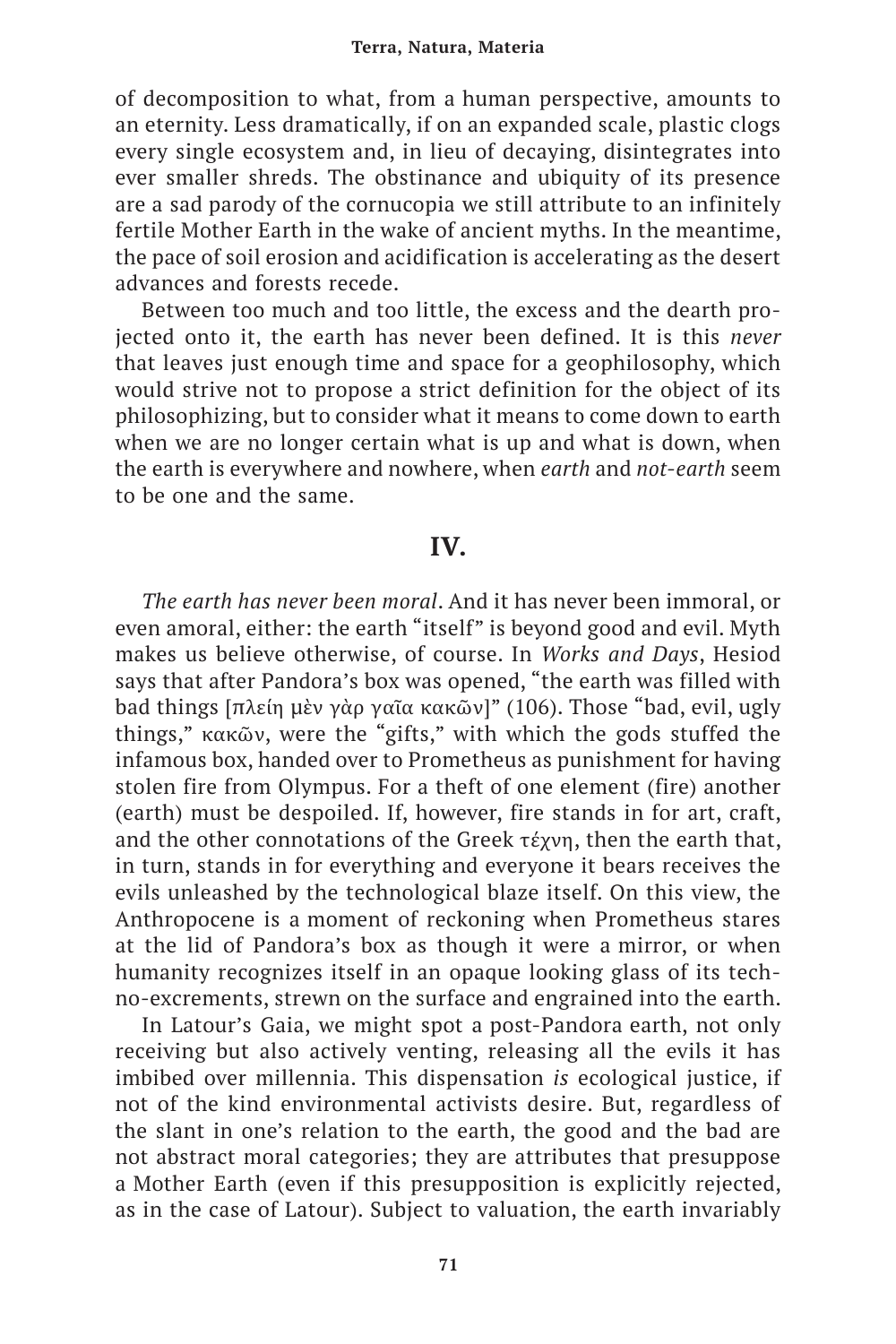of decomposition to what, from a human perspective, amounts to an eternity. Less dramatically, if on an expanded scale, plastic clogs every single ecosystem and, in lieu of decaying, disintegrates into ever smaller shreds. The obstinance and ubiquity of its presence are a sad parody of the cornucopia we still attribute to an infinitely fertile Mother Earth in the wake of ancient myths. In the meantime, the pace of soil erosion and acidification is accelerating as the desert advances and forests recede.

Between too much and too little, the excess and the dearth projected onto it, the earth has never been defined. It is this *never* that leaves just enough time and space for a geophilosophy, which would strive not to propose a strict definition for the object of its philosophizing, but to consider what it means to come down to earth when we are no longer certain what is up and what is down, when the earth is everywhere and nowhere, when *earth* and *not-earth* seem to be one and the same.

# **IV.**

*The earth has never been moral*. And it has never been immoral, or even amoral, either: the earth "itself" is beyond good and evil. Myth makes us believe otherwise, of course. In *Works and Days*, Hesiod says that after Pandora's box was opened, "the earth was filled with bad things [πλείη μὲν γὰρ γαῖα κακῶν]" (106). Those "bad, evil, ugly things," κακῶν, were the "gifts," with which the gods stuffed the infamous box, handed over to Prometheus as punishment for having stolen fire from Olympus. For a theft of one element (fire) another (earth) must be despoiled. If, however, fire stands in for art, craft, and the other connotations of the Greek τέχνη, then the earth that, in turn, stands in for everything and everyone it bears receives the evils unleashed by the technological blaze itself. On this view, the Anthropocene is a moment of reckoning when Prometheus stares at the lid of Pandora's box as though it were a mirror, or when humanity recognizes itself in an opaque looking glass of its techno-excrements, strewn on the surface and engrained into the earth.

In Latour's Gaia, we might spot a post-Pandora earth, not only receiving but also actively venting, releasing all the evils it has imbibed over millennia. This dispensation *is* ecological justice, if not of the kind environmental activists desire. But, regardless of the slant in one's relation to the earth, the good and the bad are not abstract moral categories; they are attributes that presuppose a Mother Earth (even if this presupposition is explicitly rejected, as in the case of Latour). Subject to valuation, the earth invariably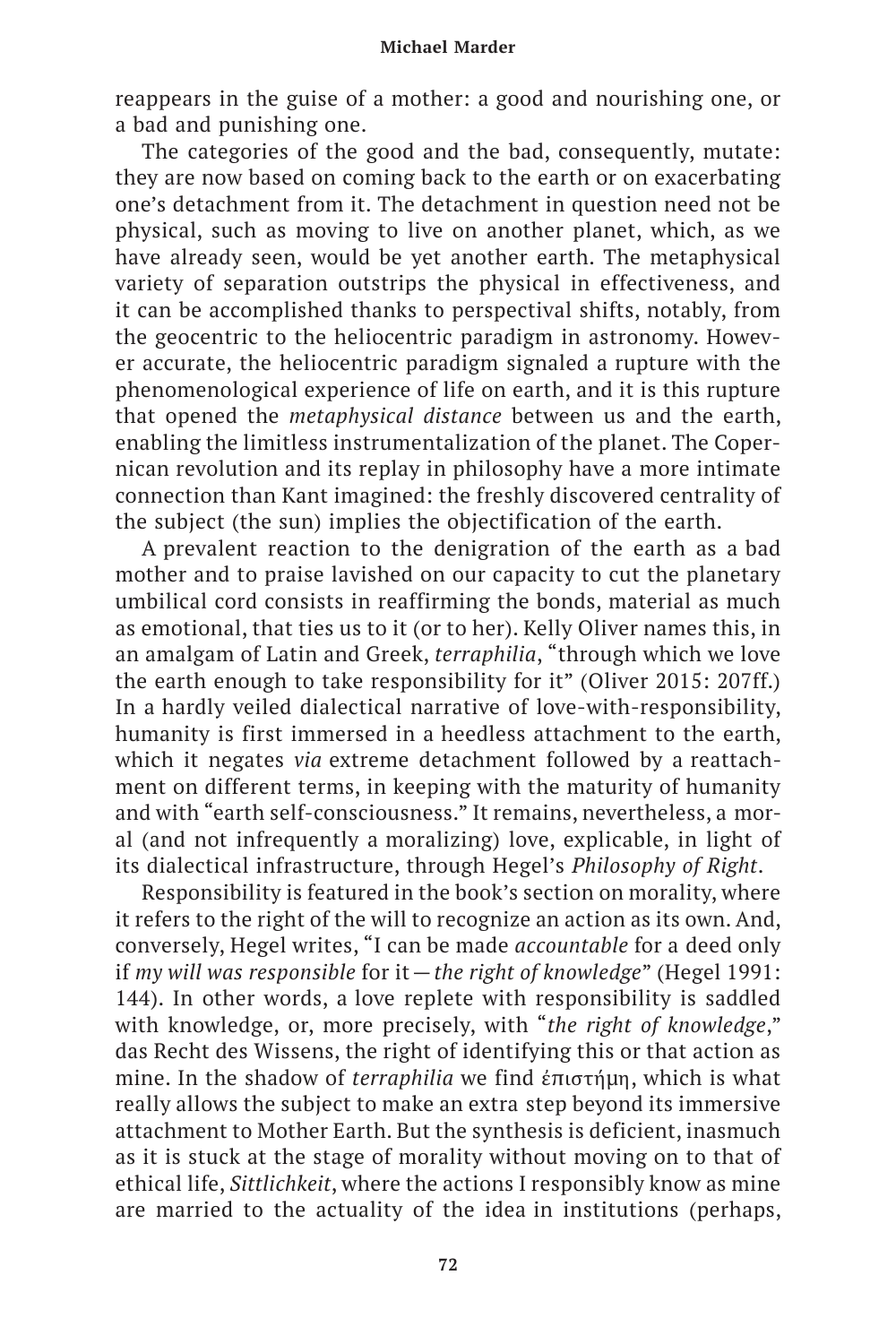reappears in the guise of a mother: a good and nourishing one, or a bad and punishing one.

The categories of the good and the bad, consequently, mutate: they are now based on coming back to the earth or on exacerbating one's detachment from it. The detachment in question need not be physical, such as moving to live on another planet, which, as we have already seen, would be yet another earth. The metaphysical variety of separation outstrips the physical in effectiveness, and it can be accomplished thanks to perspectival shifts, notably, from the geocentric to the heliocentric paradigm in astronomy. However accurate, the heliocentric paradigm signaled a rupture with the phenomenological experience of life on earth, and it is this rupture that opened the *metaphysical distance* between us and the earth, enabling the limitless instrumentalization of the planet. The Copernican revolution and its replay in philosophy have a more intimate connection than Kant imagined: the freshly discovered centrality of the subject (the sun) implies the objectification of the earth.

A prevalent reaction to the denigration of the earth as a bad mother and to praise lavished on our capacity to cut the planetary umbilical cord consists in reaffirming the bonds, material as much as emotional, that ties us to it (or to her). Kelly Oliver names this, in an amalgam of Latin and Greek, *terraphilia*, "through which we love the earth enough to take responsibility for it" (Oliver 2015: 207ff.) In a hardly veiled dialectical narrative of love-with-responsibility, humanity is first immersed in a heedless attachment to the earth, which it negates *via* extreme detachment followed by a reattachment on different terms, in keeping with the maturity of humanity and with "earth self-consciousness." It remains, nevertheless, a moral (and not infrequently a moralizing) love, explicable, in light of its dialectical infrastructure, through Hegel's *Philosophy of Right*.

Responsibility is featured in the book's section on morality, where it refers to the right of the will to recognize an action as its own. And, conversely, Hegel writes, "I can be made *accountable* for a deed only if *my will was responsible* for it—*the right of knowledge*" (Hegel 1991: 144). In other words, a love replete with responsibility is saddled with knowledge, or, more precisely, with "*the right of knowledge*," das Recht des Wissens, the right of identifying this or that action as mine. In the shadow of *terraphilia* we find ἐπιστήμη, which is what really allows the subject to make an extra step beyond its immersive attachment to Mother Earth. But the synthesis is deficient, inasmuch as it is stuck at the stage of morality without moving on to that of ethical life, *Sittlichkeit*, where the actions I responsibly know as mine are married to the actuality of the idea in institutions (perhaps,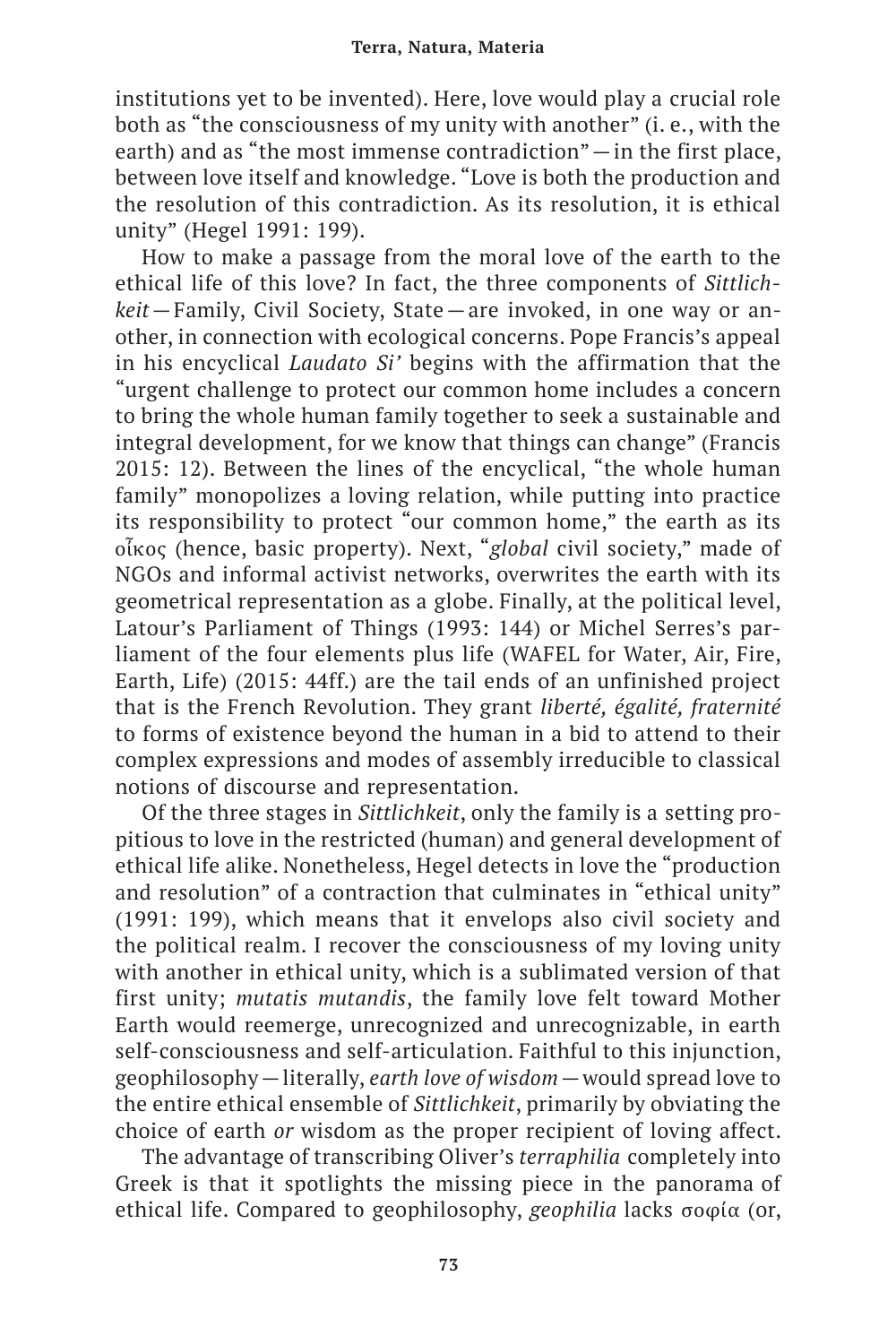institutions yet to be invented). Here, love would play a crucial role both as "the consciousness of my unity with another" (i. e., with the earth) and as "the most immense contradiction"—in the first place, between love itself and knowledge. "Love is both the production and the resolution of this contradiction. As its resolution, it is ethical unity" (Hegel 1991: 199).

How to make a passage from the moral love of the earth to the ethical life of this love? In fact, the three components of *Sittlichkeit*—Family, Civil Society, State—are invoked, in one way or another, in connection with ecological concerns. Pope Francis's appeal in his encyclical *Laudato Si'* begins with the affirmation that the "urgent challenge to protect our common home includes a concern to bring the whole human family together to seek a sustainable and integral development, for we know that things can change" (Francis 2015: 12). Between the lines of the encyclical, "the whole human family" monopolizes a loving relation, while putting into practice its responsibility to protect "our common home," the earth as its οἶκος (hence, basic property). Next, "*global* civil society," made of NGOs and informal activist networks, overwrites the earth with its geometrical representation as a globe. Finally, at the political level, Latour's Parliament of Things (1993: 144) or Michel Serres's parliament of the four elements plus life (WAFEL for Water, Air, Fire, Earth, Life) (2015: 44ff.) are the tail ends of an unfinished project that is the French Revolution. They grant *liberté, égalité, fraternité* to forms of existence beyond the human in a bid to attend to their complex expressions and modes of assembly irreducible to classical notions of discourse and representation.

Of the three stages in *Sittlichkeit*, only the family is a setting propitious to love in the restricted (human) and general development of ethical life alike. Nonetheless, Hegel detects in love the "production and resolution" of a contraction that culminates in "ethical unity" (1991: 199), which means that it envelops also civil society and the political realm. I recover the consciousness of my loving unity with another in ethical unity, which is a sublimated version of that first unity; *mutatis mutandis*, the family love felt toward Mother Earth would reemerge, unrecognized and unrecognizable, in earth self-consciousness and self-articulation. Faithful to this injunction, geophilosophy—literally, *earth love of wisdom*—would spread love to the entire ethical ensemble of *Sittlichkeit*, primarily by obviating the choice of earth *or* wisdom as the proper recipient of loving affect.

The advantage of transcribing Oliver's *terraphilia* completely into Greek is that it spotlights the missing piece in the panorama of ethical life. Compared to geophilosophy, *geophilia* lacks σοφία (or,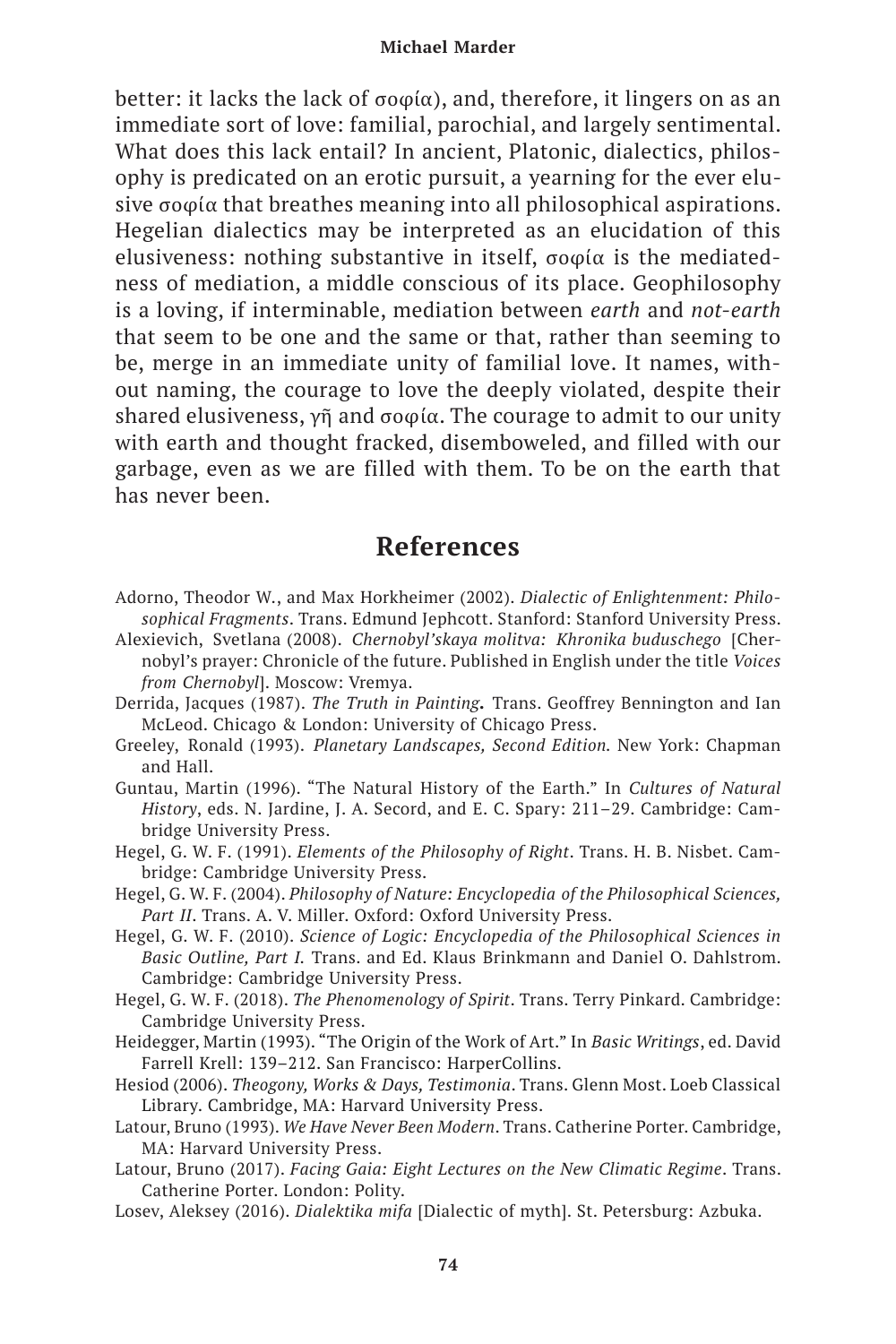better: it lacks the lack of σοφία), and, therefore, it lingers on as an immediate sort of love: familial, parochial, and largely sentimental. What does this lack entail? In ancient, Platonic, dialectics, philosophy is predicated on an erotic pursuit, a yearning for the ever elusive σοφία that breathes meaning into all philosophical aspirations. Hegelian dialectics may be interpreted as an elucidation of this elusiveness: nothing substantive in itself, σοφία is the mediatedness of mediation, a middle conscious of its place. Geophilosophy is a loving, if interminable, mediation between *earth* and *not-earth* that seem to be one and the same or that, rather than seeming to be, merge in an immediate unity of familial love. It names, without naming, the courage to love the deeply violated, despite their shared elusiveness, γῆ and σοφία. The courage to admit to our unity with earth and thought fracked, disemboweled, and filled with our garbage, even as we are filled with them. To be on the earth that has never been.

# **References**

- Adorno, Theodor W., and Max Horkheimer (2002). *Dialectic of Enlightenment: Philosophical Fragments*. Trans. Edmund Jephcott. Stanford: Stanford University Press.
- Alexievich, Svetlana (2008). *Chernobyl'skaya molitva: Khronika buduschego* [Chernobyl's prayer: Chronicle of the future. Published in English under the title *Voices from Chernobyl*]. Moscow: Vremya.
- Derrida, Jacques (1987). *The Truth in Painting.* Trans. Geoffrey Bennington and Ian McLeod. Chicago & London: University of Chicago Press.
- Greeley, Ronald (1993). *Planetary Landscapes, Second Edition.* New York: Chapman and Hall.
- Guntau, Martin (1996). "The Natural History of the Earth." In *Cultures of Natural History*, eds. N. Jardine, J. A. Secord, and E. C. Spary: 211–29. Cambridge: Cambridge University Press.
- Hegel, G. W. F. (1991). *Elements of the Philosophy of Right*. Trans. H. B. Nisbet. Cambridge: Cambridge University Press.
- Hegel, G. W. F. (2004). *Philosophy of Nature: Encyclopedia of the Philosophical Sciences, Part II*. Trans. A. V. Miller. Oxford: Oxford University Press.
- Hegel, G. W. F. (2010). *Science of Logic: Encyclopedia of the Philosophical Sciences in Basic Outline, Part I.* Trans. and Ed. Klaus Brinkmann and Daniel O. Dahlstrom. Cambridge: Cambridge University Press.
- Hegel, G. W. F. (2018). *The Phenomenology of Spirit*. Trans. Terry Pinkard. Cambridge: Cambridge University Press.
- Heidegger, Martin (1993). "The Origin of the Work of Art." In *Basic Writings*, ed. David Farrell Krell: 139–212. San Francisco: HarperCollins.
- Hesiod (2006). *Theogony, Works & Days, Testimonia*. Trans. Glenn Most. Loeb Classical Library. Cambridge, MA: Harvard University Press.
- Latour, Bruno (1993). *We Have Never Been Modern*. Trans. Catherine Porter. Cambridge, MA: Harvard University Press.
- Latour, Bruno (2017). *Facing Gaia: Eight Lectures on the New Climatic Regime*. Trans. Catherine Porter. London: Polity.
- Losev, Aleksey (2016). *Dialektika mifa* [Dialectic of myth]. St. Petersburg: Azbuka.